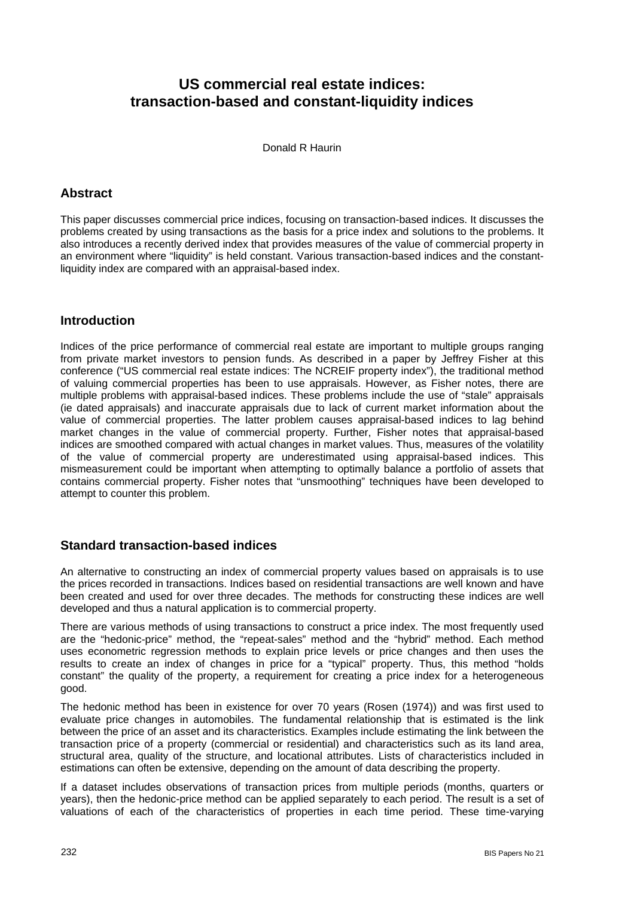## **US commercial real estate indices: transaction-based and constant-liquidity indices**

Donald R Haurin

## **Abstract**

This paper discusses commercial price indices, focusing on transaction-based indices. It discusses the problems created by using transactions as the basis for a price index and solutions to the problems. It also introduces a recently derived index that provides measures of the value of commercial property in an environment where "liquidity" is held constant. Various transaction-based indices and the constantliquidity index are compared with an appraisal-based index.

## **Introduction**

Indices of the price performance of commercial real estate are important to multiple groups ranging from private market investors to pension funds. As described in a paper by Jeffrey Fisher at this conference ("US commercial real estate indices: The NCREIF property index"), the traditional method of valuing commercial properties has been to use appraisals. However, as Fisher notes, there are multiple problems with appraisal-based indices. These problems include the use of "stale" appraisals (ie dated appraisals) and inaccurate appraisals due to lack of current market information about the value of commercial properties. The latter problem causes appraisal-based indices to lag behind market changes in the value of commercial property. Further, Fisher notes that appraisal-based indices are smoothed compared with actual changes in market values. Thus, measures of the volatility of the value of commercial property are underestimated using appraisal-based indices. This mismeasurement could be important when attempting to optimally balance a portfolio of assets that contains commercial property. Fisher notes that "unsmoothing" techniques have been developed to attempt to counter this problem.

## **Standard transaction-based indices**

An alternative to constructing an index of commercial property values based on appraisals is to use the prices recorded in transactions. Indices based on residential transactions are well known and have been created and used for over three decades. The methods for constructing these indices are well developed and thus a natural application is to commercial property.

There are various methods of using transactions to construct a price index. The most frequently used are the "hedonic-price" method, the "repeat-sales" method and the "hybrid" method. Each method uses econometric regression methods to explain price levels or price changes and then uses the results to create an index of changes in price for a "typical" property. Thus, this method "holds constant" the quality of the property, a requirement for creating a price index for a heterogeneous good.

The hedonic method has been in existence for over 70 years (Rosen (1974)) and was first used to evaluate price changes in automobiles. The fundamental relationship that is estimated is the link between the price of an asset and its characteristics. Examples include estimating the link between the transaction price of a property (commercial or residential) and characteristics such as its land area, structural area, quality of the structure, and locational attributes. Lists of characteristics included in estimations can often be extensive, depending on the amount of data describing the property.

If a dataset includes observations of transaction prices from multiple periods (months, quarters or years), then the hedonic-price method can be applied separately to each period. The result is a set of valuations of each of the characteristics of properties in each time period. These time-varying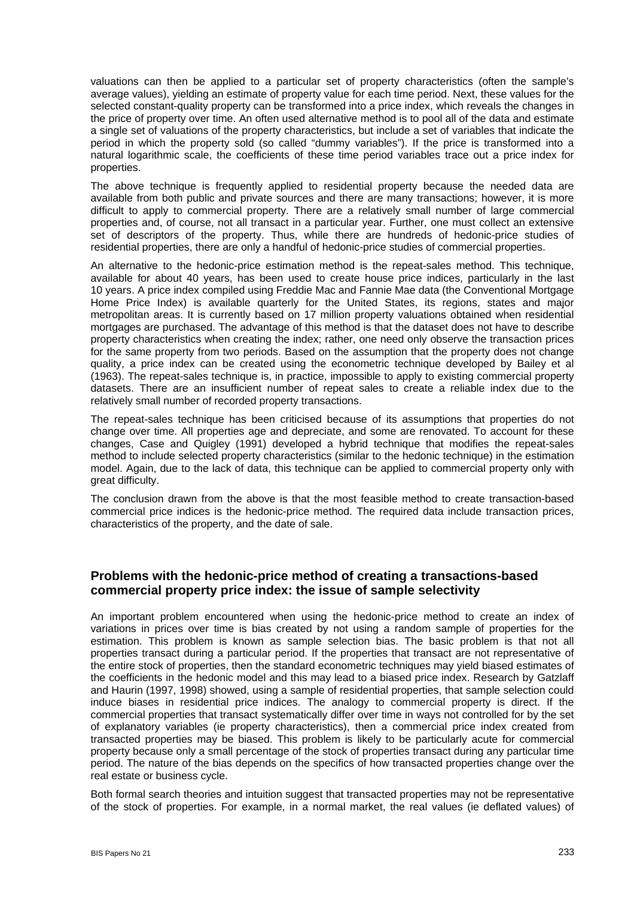valuations can then be applied to a particular set of property characteristics (often the sample's average values), yielding an estimate of property value for each time period. Next, these values for the selected constant-quality property can be transformed into a price index, which reveals the changes in the price of property over time. An often used alternative method is to pool all of the data and estimate a single set of valuations of the property characteristics, but include a set of variables that indicate the period in which the property sold (so called "dummy variables"). If the price is transformed into a natural logarithmic scale, the coefficients of these time period variables trace out a price index for properties.

The above technique is frequently applied to residential property because the needed data are available from both public and private sources and there are many transactions; however, it is more difficult to apply to commercial property. There are a relatively small number of large commercial properties and, of course, not all transact in a particular year. Further, one must collect an extensive set of descriptors of the property. Thus, while there are hundreds of hedonic-price studies of residential properties, there are only a handful of hedonic-price studies of commercial properties.

An alternative to the hedonic-price estimation method is the repeat-sales method. This technique, available for about 40 years, has been used to create house price indices, particularly in the last 10 years. A price index compiled using Freddie Mac and Fannie Mae data (the Conventional Mortgage Home Price Index) is available quarterly for the United States, its regions, states and major metropolitan areas. It is currently based on 17 million property valuations obtained when residential mortgages are purchased. The advantage of this method is that the dataset does not have to describe property characteristics when creating the index; rather, one need only observe the transaction prices for the same property from two periods. Based on the assumption that the property does not change quality, a price index can be created using the econometric technique developed by Bailey et al (1963). The repeat-sales technique is, in practice, impossible to apply to existing commercial property datasets. There are an insufficient number of repeat sales to create a reliable index due to the relatively small number of recorded property transactions.

The repeat-sales technique has been criticised because of its assumptions that properties do not change over time. All properties age and depreciate, and some are renovated. To account for these changes, Case and Quigley (1991) developed a hybrid technique that modifies the repeat-sales method to include selected property characteristics (similar to the hedonic technique) in the estimation model. Again, due to the lack of data, this technique can be applied to commercial property only with great difficulty.

The conclusion drawn from the above is that the most feasible method to create transaction-based commercial price indices is the hedonic-price method. The required data include transaction prices, characteristics of the property, and the date of sale.

## **Problems with the hedonic-price method of creating a transactions-based commercial property price index: the issue of sample selectivity**

An important problem encountered when using the hedonic-price method to create an index of variations in prices over time is bias created by not using a random sample of properties for the estimation. This problem is known as sample selection bias. The basic problem is that not all properties transact during a particular period. If the properties that transact are not representative of the entire stock of properties, then the standard econometric techniques may yield biased estimates of the coefficients in the hedonic model and this may lead to a biased price index. Research by Gatzlaff and Haurin (1997, 1998) showed, using a sample of residential properties, that sample selection could induce biases in residential price indices. The analogy to commercial property is direct. If the commercial properties that transact systematically differ over time in ways not controlled for by the set of explanatory variables (ie property characteristics), then a commercial price index created from transacted properties may be biased. This problem is likely to be particularly acute for commercial property because only a small percentage of the stock of properties transact during any particular time period. The nature of the bias depends on the specifics of how transacted properties change over the real estate or business cycle.

Both formal search theories and intuition suggest that transacted properties may not be representative of the stock of properties. For example, in a normal market, the real values (ie deflated values) of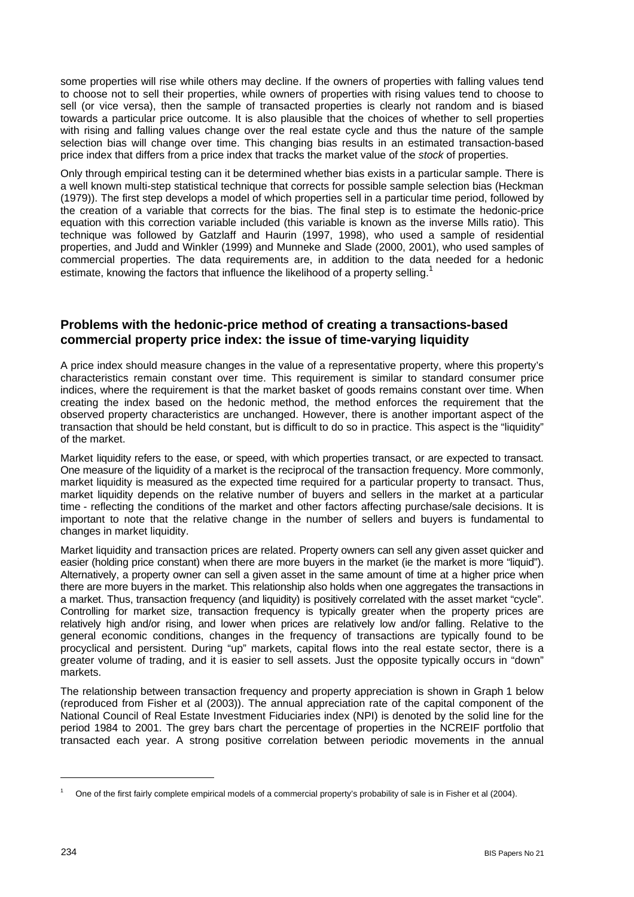some properties will rise while others may decline. If the owners of properties with falling values tend to choose not to sell their properties, while owners of properties with rising values tend to choose to sell (or vice versa), then the sample of transacted properties is clearly not random and is biased towards a particular price outcome. It is also plausible that the choices of whether to sell properties with rising and falling values change over the real estate cycle and thus the nature of the sample selection bias will change over time. This changing bias results in an estimated transaction-based price index that differs from a price index that tracks the market value of the *stock* of properties.

Only through empirical testing can it be determined whether bias exists in a particular sample. There is a well known multi-step statistical technique that corrects for possible sample selection bias (Heckman (1979)). The first step develops a model of which properties sell in a particular time period, followed by the creation of a variable that corrects for the bias. The final step is to estimate the hedonic-price equation with this correction variable included (this variable is known as the inverse Mills ratio). This technique was followed by Gatzlaff and Haurin (1997, 1998), who used a sample of residential properties, and Judd and Winkler (1999) and Munneke and Slade (2000, 2001), who used samples of commercial properties. The data requirements are, in addition to the data needed for a hedonic estimate, knowing the factors that influence the likelihood of a property selling.<sup>1</sup>

## **Problems with the hedonic-price method of creating a transactions-based commercial property price index: the issue of time-varying liquidity**

A price index should measure changes in the value of a representative property, where this property's characteristics remain constant over time. This requirement is similar to standard consumer price indices, where the requirement is that the market basket of goods remains constant over time. When creating the index based on the hedonic method, the method enforces the requirement that the observed property characteristics are unchanged. However, there is another important aspect of the transaction that should be held constant, but is difficult to do so in practice. This aspect is the "liquidity" of the market.

Market liquidity refers to the ease, or speed, with which properties transact, or are expected to transact. One measure of the liquidity of a market is the reciprocal of the transaction frequency. More commonly, market liquidity is measured as the expected time required for a particular property to transact. Thus, market liquidity depends on the relative number of buyers and sellers in the market at a particular time - reflecting the conditions of the market and other factors affecting purchase/sale decisions. It is important to note that the relative change in the number of sellers and buyers is fundamental to changes in market liquidity.

Market liquidity and transaction prices are related. Property owners can sell any given asset quicker and easier (holding price constant) when there are more buyers in the market (ie the market is more "liquid"). Alternatively, a property owner can sell a given asset in the same amount of time at a higher price when there are more buyers in the market. This relationship also holds when one aggregates the transactions in a market. Thus, transaction frequency (and liquidity) is positively correlated with the asset market "cycle". Controlling for market size, transaction frequency is typically greater when the property prices are relatively high and/or rising, and lower when prices are relatively low and/or falling. Relative to the general economic conditions, changes in the frequency of transactions are typically found to be procyclical and persistent. During "up" markets, capital flows into the real estate sector, there is a greater volume of trading, and it is easier to sell assets. Just the opposite typically occurs in "down" markets.

The relationship between transaction frequency and property appreciation is shown in Graph 1 below (reproduced from Fisher et al (2003)). The annual appreciation rate of the capital component of the National Council of Real Estate Investment Fiduciaries index (NPI) is denoted by the solid line for the period 1984 to 2001. The grey bars chart the percentage of properties in the NCREIF portfolio that transacted each year. A strong positive correlation between periodic movements in the annual

l

<sup>1</sup> One of the first fairly complete empirical models of a commercial property's probability of sale is in Fisher et al (2004).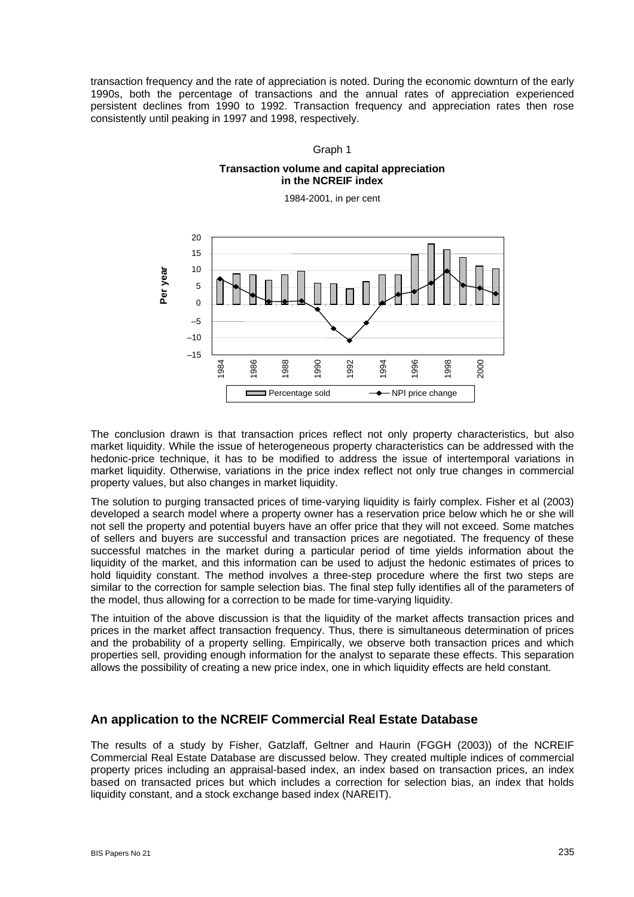transaction frequency and the rate of appreciation is noted. During the economic downturn of the early 1990s, both the percentage of transactions and the annual rates of appreciation experienced persistent declines from 1990 to 1992. Transaction frequency and appreciation rates then rose consistently until peaking in 1997 and 1998, respectively.

#### Graph 1

#### **Transaction volume and capital appreciation in the NCREIF index**

1984-2001, in per cent



The conclusion drawn is that transaction prices reflect not only property characteristics, but also market liquidity. While the issue of heterogeneous property characteristics can be addressed with the hedonic-price technique, it has to be modified to address the issue of intertemporal variations in market liquidity. Otherwise, variations in the price index reflect not only true changes in commercial property values, but also changes in market liquidity.

The solution to purging transacted prices of time-varying liquidity is fairly complex. Fisher et al (2003) developed a search model where a property owner has a reservation price below which he or she will not sell the property and potential buyers have an offer price that they will not exceed. Some matches of sellers and buyers are successful and transaction prices are negotiated. The frequency of these successful matches in the market during a particular period of time yields information about the liquidity of the market, and this information can be used to adjust the hedonic estimates of prices to hold liquidity constant. The method involves a three-step procedure where the first two steps are similar to the correction for sample selection bias. The final step fully identifies all of the parameters of the model, thus allowing for a correction to be made for time-varying liquidity.

The intuition of the above discussion is that the liquidity of the market affects transaction prices and prices in the market affect transaction frequency. Thus, there is simultaneous determination of prices and the probability of a property selling. Empirically, we observe both transaction prices and which properties sell, providing enough information for the analyst to separate these effects. This separation allows the possibility of creating a new price index, one in which liquidity effects are held constant.

## **An application to the NCREIF Commercial Real Estate Database**

The results of a study by Fisher, Gatzlaff, Geltner and Haurin (FGGH (2003)) of the NCREIF Commercial Real Estate Database are discussed below. They created multiple indices of commercial property prices including an appraisal-based index, an index based on transaction prices, an index based on transacted prices but which includes a correction for selection bias, an index that holds liquidity constant, and a stock exchange based index (NAREIT).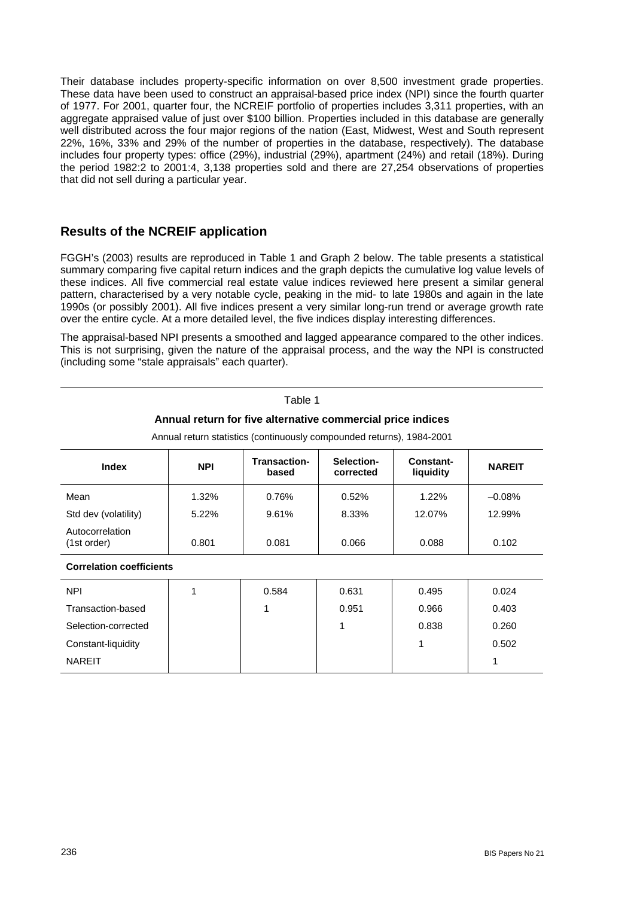Their database includes property-specific information on over 8,500 investment grade properties. These data have been used to construct an appraisal-based price index (NPI) since the fourth quarter of 1977. For 2001, quarter four, the NCREIF portfolio of properties includes 3,311 properties, with an aggregate appraised value of just over \$100 billion. Properties included in this database are generally well distributed across the four major regions of the nation (East, Midwest, West and South represent 22%, 16%, 33% and 29% of the number of properties in the database, respectively). The database includes four property types: office (29%), industrial (29%), apartment (24%) and retail (18%). During the period 1982:2 to 2001:4, 3,138 properties sold and there are 27,254 observations of properties that did not sell during a particular year.

## **Results of the NCREIF application**

FGGH's (2003) results are reproduced in Table 1 and Graph 2 below. The table presents a statistical summary comparing five capital return indices and the graph depicts the cumulative log value levels of these indices. All five commercial real estate value indices reviewed here present a similar general pattern, characterised by a very notable cycle, peaking in the mid- to late 1980s and again in the late 1990s (or possibly 2001). All five indices present a very similar long-run trend or average growth rate over the entire cycle. At a more detailed level, the five indices display interesting differences.

The appraisal-based NPI presents a smoothed and lagged appearance compared to the other indices. This is not surprising, given the nature of the appraisal process, and the way the NPI is constructed (including some "stale appraisals" each quarter).

Table 1

| Annual return for five alternative commercial price indices<br>Annual return statistics (continuously compounded returns), 1984-2001 |            |                              |                         |                        |               |  |  |  |
|--------------------------------------------------------------------------------------------------------------------------------------|------------|------------------------------|-------------------------|------------------------|---------------|--|--|--|
| <b>Index</b>                                                                                                                         | <b>NPI</b> | <b>Transaction-</b><br>based | Selection-<br>corrected | Constant-<br>liquidity | <b>NAREIT</b> |  |  |  |
| Mean                                                                                                                                 | 1.32%      | 0.76%                        | 0.52%                   | 1.22%                  | $-0.08%$      |  |  |  |
| Std dev (volatility)                                                                                                                 | 5.22%      | 9.61%                        | 8.33%                   | 12.07%                 | 12.99%        |  |  |  |
| Autocorrelation<br>(1st order)                                                                                                       | 0.801      | 0.081                        | 0.066                   | 0.088                  | 0.102         |  |  |  |
| <b>Correlation coefficients</b>                                                                                                      |            |                              |                         |                        |               |  |  |  |

| <b>NPI</b>          | 0.584 | 0.631 | 0.495 | 0.024 |
|---------------------|-------|-------|-------|-------|
| Transaction-based   |       | 0.951 | 0.966 | 0.403 |
| Selection-corrected |       |       | 0.838 | 0.260 |
| Constant-liquidity  |       |       |       | 0.502 |
| <b>NAREIT</b>       |       |       |       |       |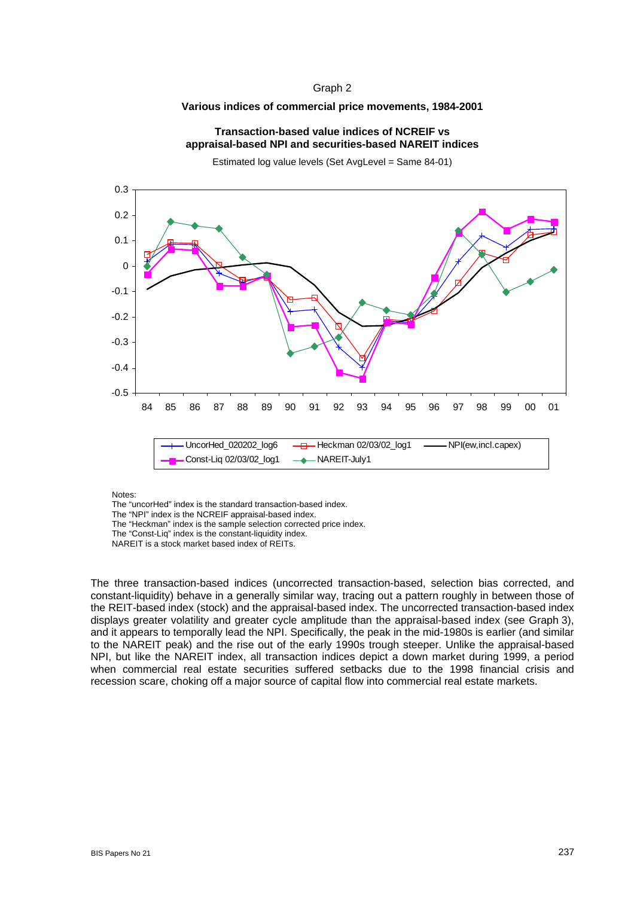#### Graph 2

#### **Various indices of commercial price movements, 1984-2001**

#### **Transaction-based value indices of NCREIF vs appraisal-based NPI and securities-based NAREIT indices**

Estimated log value levels (Set AvgLevel = Same 84-01)



Notes:

The "uncorHed" index is the standard transaction-based index.

The "NPI" index is the NCREIF appraisal-based index.

The "Heckman" index is the sample selection corrected price index.

The "Const-Liq" index is the constant-liquidity index.

NAREIT is a stock market based index of REITs.

The three transaction-based indices (uncorrected transaction-based, selection bias corrected, and constant-liquidity) behave in a generally similar way, tracing out a pattern roughly in between those of the REIT-based index (stock) and the appraisal-based index. The uncorrected transaction-based index displays greater volatility and greater cycle amplitude than the appraisal-based index (see Graph 3), and it appears to temporally lead the NPI. Specifically, the peak in the mid-1980s is earlier (and similar to the NAREIT peak) and the rise out of the early 1990s trough steeper. Unlike the appraisal-based NPI, but like the NAREIT index, all transaction indices depict a down market during 1999, a period when commercial real estate securities suffered setbacks due to the 1998 financial crisis and recession scare, choking off a major source of capital flow into commercial real estate markets.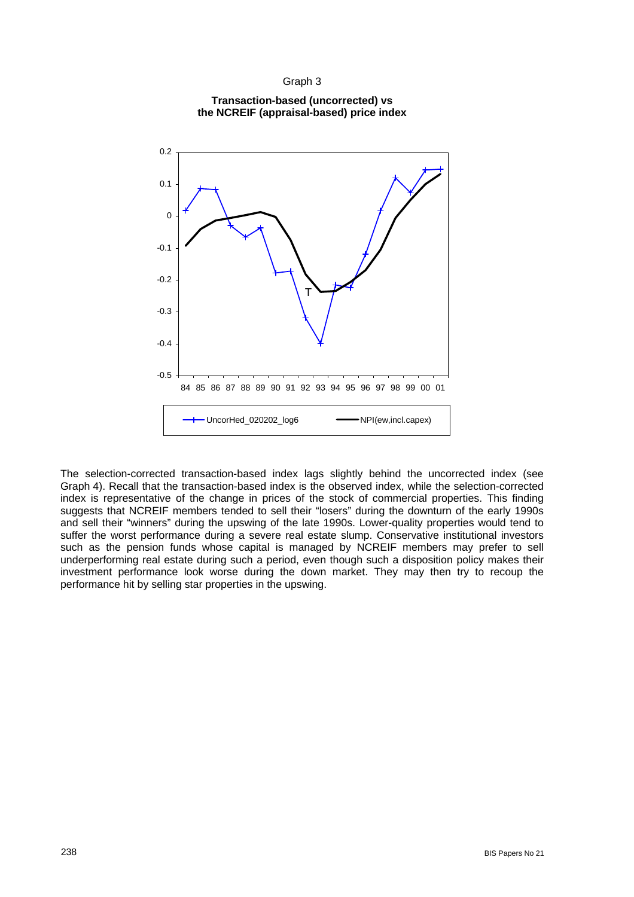#### Graph 3



### **Transaction-based (uncorrected) vs the NCREIF (appraisal-based) price index**

The selection-corrected transaction-based index lags slightly behind the uncorrected index (see Graph 4). Recall that the transaction-based index is the observed index, while the selection-corrected index is representative of the change in prices of the stock of commercial properties. This finding suggests that NCREIF members tended to sell their "losers" during the downturn of the early 1990s and sell their "winners" during the upswing of the late 1990s. Lower-quality properties would tend to suffer the worst performance during a severe real estate slump. Conservative institutional investors such as the pension funds whose capital is managed by NCREIF members may prefer to sell underperforming real estate during such a period, even though such a disposition policy makes their investment performance look worse during the down market. They may then try to recoup the performance hit by selling star properties in the upswing.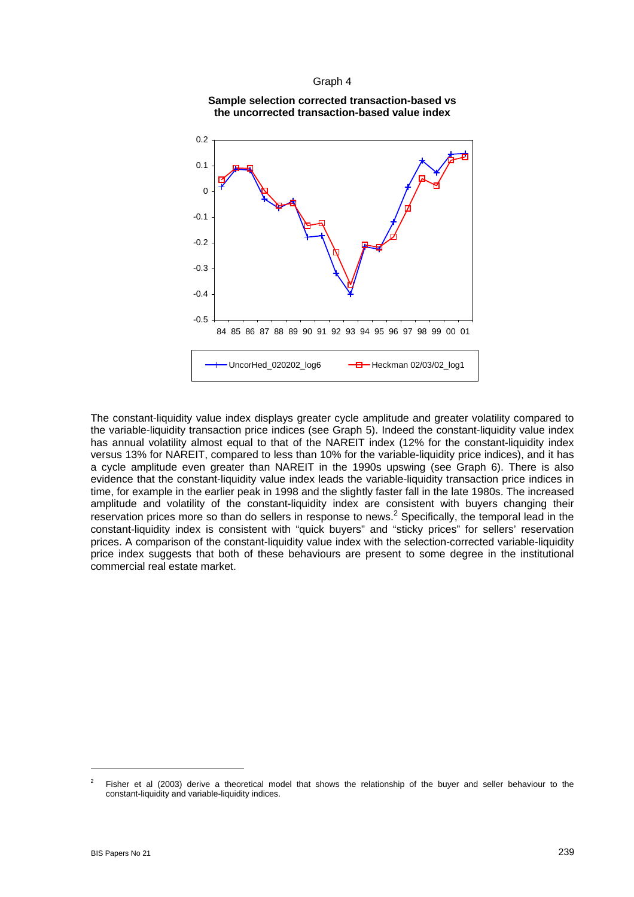#### Graph 4





The constant-liquidity value index displays greater cycle amplitude and greater volatility compared to the variable-liquidity transaction price indices (see Graph 5). Indeed the constant-liquidity value index has annual volatility almost equal to that of the NAREIT index (12% for the constant-liquidity index versus 13% for NAREIT, compared to less than 10% for the variable-liquidity price indices), and it has a cycle amplitude even greater than NAREIT in the 1990s upswing (see Graph 6). There is also evidence that the constant-liquidity value index leads the variable-liquidity transaction price indices in time, for example in the earlier peak in 1998 and the slightly faster fall in the late 1980s. The increased amplitude and volatility of the constant-liquidity index are consistent with buyers changing their reservation prices more so than do sellers in response to news.<sup>2</sup> Specifically, the temporal lead in the constant-liquidity index is consistent with "quick buyers" and "sticky prices" for sellers' reservation prices. A comparison of the constant-liquidity value index with the selection-corrected variable-liquidity price index suggests that both of these behaviours are present to some degree in the institutional commercial real estate market.

l

<sup>2</sup> Fisher et al (2003) derive a theoretical model that shows the relationship of the buyer and seller behaviour to the constant-liquidity and variable-liquidity indices.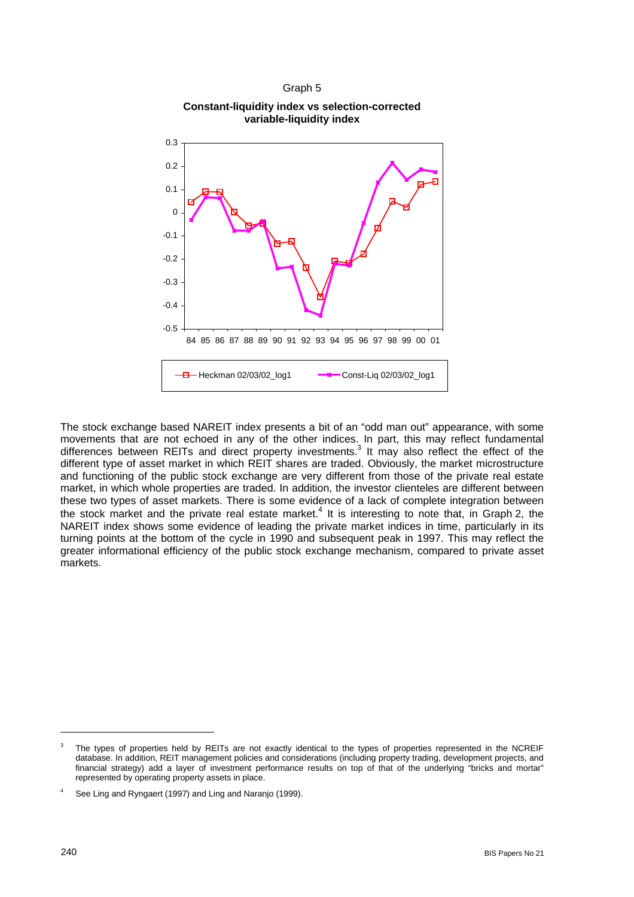





The stock exchange based NAREIT index presents a bit of an "odd man out" appearance, with some movements that are not echoed in any of the other indices. In part, this may reflect fundamental differences between REITs and direct property investments.<sup>3</sup> It may also reflect the effect of the different type of asset market in which REIT shares are traded. Obviously, the market microstructure and functioning of the public stock exchange are very different from those of the private real estate market, in which whole properties are traded. In addition, the investor clienteles are different between these two types of asset markets. There is some evidence of a lack of complete integration between the stock market and the private real estate market.<sup>4</sup> It is interesting to note that, in Graph 2, the NAREIT index shows some evidence of leading the private market indices in time, particularly in its turning points at the bottom of the cycle in 1990 and subsequent peak in 1997. This may reflect the greater informational efficiency of the public stock exchange mechanism, compared to private asset markets.

l

<sup>3</sup> The types of properties held by REITs are not exactly identical to the types of properties represented in the NCREIF database. In addition, REIT management policies and considerations (including property trading, development projects, and financial strategy) add a layer of investment performance results on top of that of the underlying "bricks and mortar" represented by operating property assets in place.

<sup>4</sup> See Ling and Ryngaert (1997) and Ling and Naranjo (1999).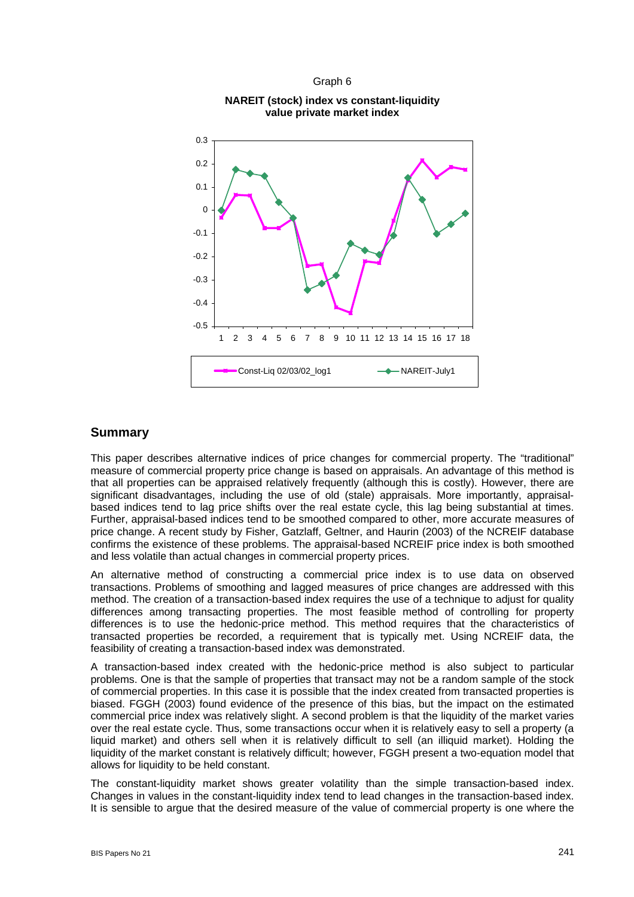

# Graph 6 **NAREIT (stock) index vs constant-liquidity**

## **Summary**

This paper describes alternative indices of price changes for commercial property. The "traditional" measure of commercial property price change is based on appraisals. An advantage of this method is that all properties can be appraised relatively frequently (although this is costly). However, there are significant disadvantages, including the use of old (stale) appraisals. More importantly, appraisalbased indices tend to lag price shifts over the real estate cycle, this lag being substantial at times. Further, appraisal-based indices tend to be smoothed compared to other, more accurate measures of price change. A recent study by Fisher, Gatzlaff, Geltner, and Haurin (2003) of the NCREIF database confirms the existence of these problems. The appraisal-based NCREIF price index is both smoothed and less volatile than actual changes in commercial property prices.

An alternative method of constructing a commercial price index is to use data on observed transactions. Problems of smoothing and lagged measures of price changes are addressed with this method. The creation of a transaction-based index requires the use of a technique to adjust for quality differences among transacting properties. The most feasible method of controlling for property differences is to use the hedonic-price method. This method requires that the characteristics of transacted properties be recorded, a requirement that is typically met. Using NCREIF data, the feasibility of creating a transaction-based index was demonstrated.

A transaction-based index created with the hedonic-price method is also subject to particular problems. One is that the sample of properties that transact may not be a random sample of the stock of commercial properties. In this case it is possible that the index created from transacted properties is biased. FGGH (2003) found evidence of the presence of this bias, but the impact on the estimated commercial price index was relatively slight. A second problem is that the liquidity of the market varies over the real estate cycle. Thus, some transactions occur when it is relatively easy to sell a property (a liquid market) and others sell when it is relatively difficult to sell (an illiquid market). Holding the liquidity of the market constant is relatively difficult; however, FGGH present a two-equation model that allows for liquidity to be held constant.

The constant-liquidity market shows greater volatility than the simple transaction-based index. Changes in values in the constant-liquidity index tend to lead changes in the transaction-based index. It is sensible to argue that the desired measure of the value of commercial property is one where the